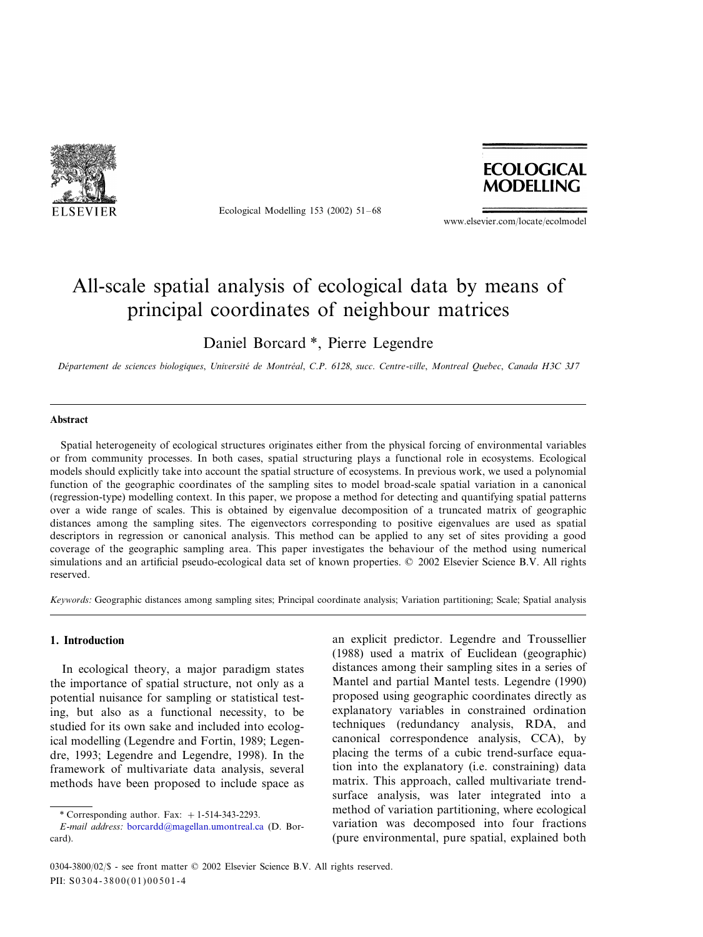

Ecological Modelling 153 (2002) 51–68



www.elsevier.com/locate/ecolmodel

# All-scale spatial analysis of ecological data by means of principal coordinates of neighbour matrices

Daniel Borcard \*, Pierre Legendre

*De´partement de sciences biologiques*, *Uniersite´ de Montre´al*, *C*.*P*. <sup>6128</sup>, *succ*. *Centre*-*ille*, *Montreal Quebec*, *Canada H*3*C* <sup>3</sup>*J*<sup>7</sup>

#### **Abstract**

Spatial heterogeneity of ecological structures originates either from the physical forcing of environmental variables or from community processes. In both cases, spatial structuring plays a functional role in ecosystems. Ecological models should explicitly take into account the spatial structure of ecosystems. In previous work, we used a polynomial function of the geographic coordinates of the sampling sites to model broad-scale spatial variation in a canonical (regression-type) modelling context. In this paper, we propose a method for detecting and quantifying spatial patterns over a wide range of scales. This is obtained by eigenvalue decomposition of a truncated matrix of geographic distances among the sampling sites. The eigenvectors corresponding to positive eigenvalues are used as spatial descriptors in regression or canonical analysis. This method can be applied to any set of sites providing a good coverage of the geographic sampling area. This paper investigates the behaviour of the method using numerical simulations and an artificial pseudo-ecological data set of known properties. © 2002 Elsevier Science B.V. All rights reserved.

*Keywords*: Geographic distances among sampling sites; Principal coordinate analysis; Variation partitioning; Scale; Spatial analysis

## **1. Introduction**

In ecological theory, a major paradigm states the importance of spatial structure, not only as a potential nuisance for sampling or statistical testing, but also as a functional necessity, to be studied for its own sake and included into ecological modelling (Legendre and Fortin, 1989; Legendre, 1993; Legendre and Legendre, 1998). In the framework of multivariate data analysis, several methods have been proposed to include space as an explicit predictor. Legendre and Troussellier (1988) used a matrix of Euclidean (geographic) distances among their sampling sites in a series of Mantel and partial Mantel tests. Legendre (1990) proposed using geographic coordinates directly as explanatory variables in constrained ordination techniques (redundancy analysis, RDA, and canonical correspondence analysis, CCA), by placing the terms of a cubic trend-surface equation into the explanatory (i.e. constraining) data matrix. This approach, called multivariate trendsurface analysis, was later integrated into a method of variation partitioning, where ecological variation was decomposed into four fractions (pure environmental, pure spatial, explained both

<sup>\*</sup> Corresponding author. Fax:  $+1-514-343-2293$ .

*E*-*mail address*: [borcardd@magellan.umontreal.ca](mailto:borcardd@magellan.umontreal.ca) (D. Borcard).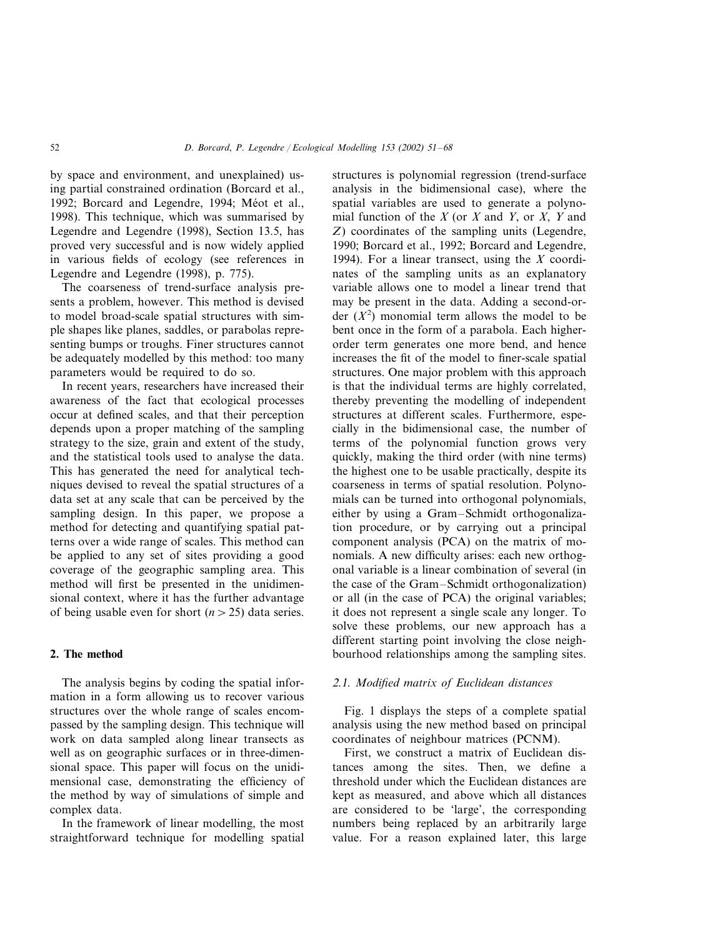by space and environment, and unexplained) using partial constrained ordination (Borcard et al., 1992; Borcard and Legendre, 1994; Méot et al., 1998). This technique, which was summarised by Legendre and Legendre (1998), Section 13.5, has proved very successful and is now widely applied in various fields of ecology (see references in Legendre and Legendre (1998), p. 775).

The coarseness of trend-surface analysis presents a problem, however. This method is devised to model broad-scale spatial structures with simple shapes like planes, saddles, or parabolas representing bumps or troughs. Finer structures cannot be adequately modelled by this method: too many parameters would be required to do so.

In recent years, researchers have increased their awareness of the fact that ecological processes occur at defined scales, and that their perception depends upon a proper matching of the sampling strategy to the size, grain and extent of the study, and the statistical tools used to analyse the data. This has generated the need for analytical techniques devised to reveal the spatial structures of a data set at any scale that can be perceived by the sampling design. In this paper, we propose a method for detecting and quantifying spatial patterns over a wide range of scales. This method can be applied to any set of sites providing a good coverage of the geographic sampling area. This method will first be presented in the unidimensional context, where it has the further advantage of being usable even for short  $(n > 25)$  data series.

#### **2. The method**

The analysis begins by coding the spatial information in a form allowing us to recover various structures over the whole range of scales encompassed by the sampling design. This technique will work on data sampled along linear transects as well as on geographic surfaces or in three-dimensional space. This paper will focus on the unidimensional case, demonstrating the efficiency of the method by way of simulations of simple and complex data.

In the framework of linear modelling, the most straightforward technique for modelling spatial structures is polynomial regression (trend-surface analysis in the bidimensional case), where the spatial variables are used to generate a polynomial function of the *X* (or *X* and *Y*, or *X*, *Y* and *Z*) coordinates of the sampling units (Legendre, 1990; Borcard et al., 1992; Borcard and Legendre, 1994). For a linear transect, using the *X* coordinates of the sampling units as an explanatory variable allows one to model a linear trend that may be present in the data. Adding a second-order  $(X^2)$  monomial term allows the model to be bent once in the form of a parabola. Each higherorder term generates one more bend, and hence increases the fit of the model to finer-scale spatial structures. One major problem with this approach is that the individual terms are highly correlated, thereby preventing the modelling of independent structures at different scales. Furthermore, especially in the bidimensional case, the number of terms of the polynomial function grows very quickly, making the third order (with nine terms) the highest one to be usable practically, despite its coarseness in terms of spatial resolution. Polynomials can be turned into orthogonal polynomials, either by using a Gram–Schmidt orthogonalization procedure, or by carrying out a principal component analysis (PCA) on the matrix of monomials. A new difficulty arises: each new orthogonal variable is a linear combination of several (in the case of the Gram–Schmidt orthogonalization) or all (in the case of PCA) the original variables; it does not represent a single scale any longer. To solve these problems, our new approach has a different starting point involving the close neighbourhood relationships among the sampling sites.

## <sup>2</sup>.1. *Modified matrix of Euclidean distances*

Fig. 1 displays the steps of a complete spatial analysis using the new method based on principal coordinates of neighbour matrices (PCNM).

First, we construct a matrix of Euclidean distances among the sites. Then, we define a threshold under which the Euclidean distances are kept as measured, and above which all distances are considered to be 'large', the corresponding numbers being replaced by an arbitrarily large value. For a reason explained later, this large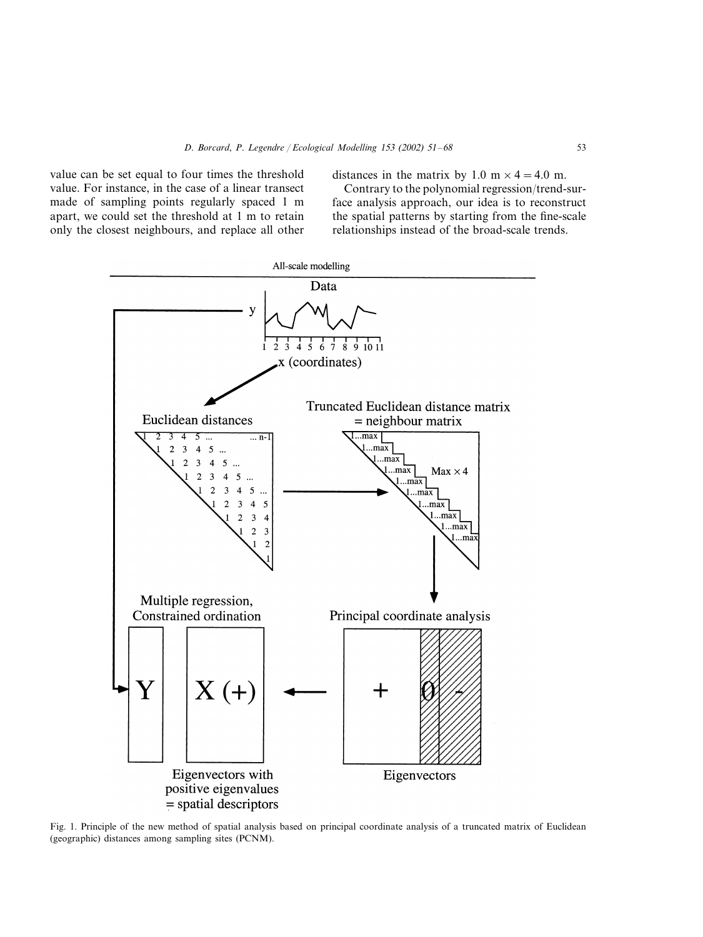value can be set equal to four times the threshold value. For instance, in the case of a linear transect made of sampling points regularly spaced 1 m apart, we could set the threshold at 1 m to retain only the closest neighbours, and replace all other

distances in the matrix by 1.0 m  $\times$  4 = 4.0 m.

Contrary to the polynomial regression/trend-surface analysis approach, our idea is to reconstruct the spatial patterns by starting from the fine-scale relationships instead of the broad-scale trends.



Fig. 1. Principle of the new method of spatial analysis based on principal coordinate analysis of a truncated matrix of Euclidean (geographic) distances among sampling sites (PCNM).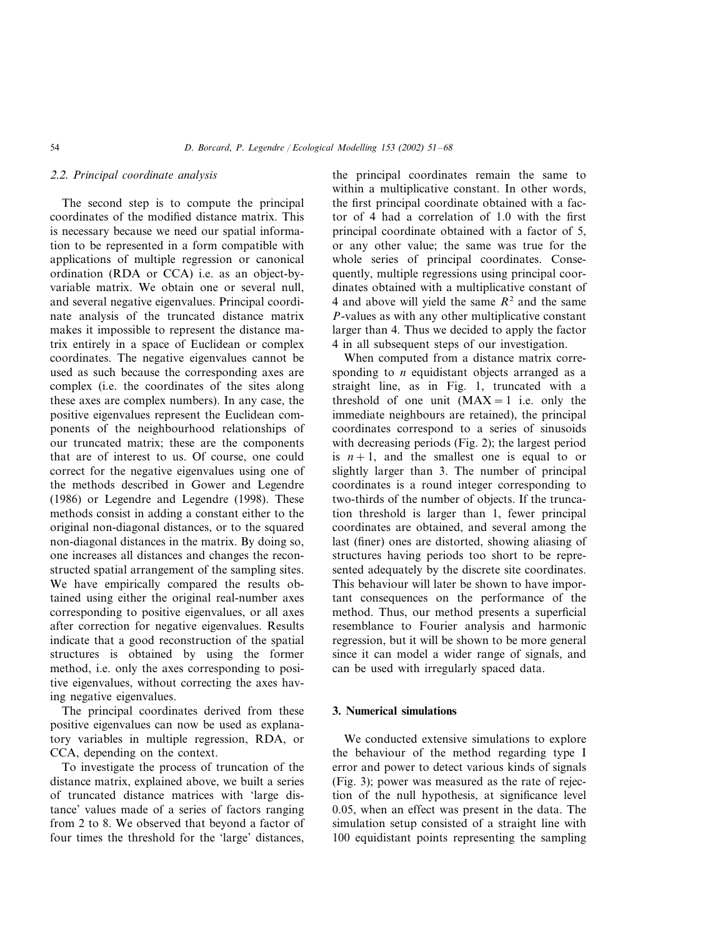# <sup>2</sup>.2. *Principal coordinate analysis*

The second step is to compute the principal coordinates of the modified distance matrix. This is necessary because we need our spatial information to be represented in a form compatible with applications of multiple regression or canonical ordination (RDA or CCA) i.e. as an object-byvariable matrix. We obtain one or several null, and several negative eigenvalues. Principal coordinate analysis of the truncated distance matrix makes it impossible to represent the distance matrix entirely in a space of Euclidean or complex coordinates. The negative eigenvalues cannot be used as such because the corresponding axes are complex (i.e. the coordinates of the sites along these axes are complex numbers). In any case, the positive eigenvalues represent the Euclidean components of the neighbourhood relationships of our truncated matrix; these are the components that are of interest to us. Of course, one could correct for the negative eigenvalues using one of the methods described in Gower and Legendre (1986) or Legendre and Legendre (1998). These methods consist in adding a constant either to the original non-diagonal distances, or to the squared non-diagonal distances in the matrix. By doing so, one increases all distances and changes the reconstructed spatial arrangement of the sampling sites. We have empirically compared the results obtained using either the original real-number axes corresponding to positive eigenvalues, or all axes after correction for negative eigenvalues. Results indicate that a good reconstruction of the spatial structures is obtained by using the former method, i.e. only the axes corresponding to positive eigenvalues, without correcting the axes having negative eigenvalues.

The principal coordinates derived from these positive eigenvalues can now be used as explanatory variables in multiple regression, RDA, or CCA, depending on the context.

To investigate the process of truncation of the distance matrix, explained above, we built a series of truncated distance matrices with 'large distance' values made of a series of factors ranging from 2 to 8. We observed that beyond a factor of four times the threshold for the 'large' distances,

the principal coordinates remain the same to within a multiplicative constant. In other words, the first principal coordinate obtained with a factor of 4 had a correlation of 1.0 with the first principal coordinate obtained with a factor of 5, or any other value; the same was true for the whole series of principal coordinates. Consequently, multiple regressions using principal coordinates obtained with a multiplicative constant of 4 and above will yield the same  $R^2$  and the same *P*-values as with any other multiplicative constant larger than 4. Thus we decided to apply the factor 4 in all subsequent steps of our investigation.

When computed from a distance matrix corresponding to *n* equidistant objects arranged as a straight line, as in Fig. 1, truncated with a threshold of one unit  $(MAX=1$  i.e. only the immediate neighbours are retained), the principal coordinates correspond to a series of sinusoids with decreasing periods (Fig. 2); the largest period is  $n+1$ , and the smallest one is equal to or slightly larger than 3. The number of principal coordinates is a round integer corresponding to two-thirds of the number of objects. If the truncation threshold is larger than 1, fewer principal coordinates are obtained, and several among the last (finer) ones are distorted, showing aliasing of structures having periods too short to be represented adequately by the discrete site coordinates. This behaviour will later be shown to have important consequences on the performance of the method. Thus, our method presents a superficial resemblance to Fourier analysis and harmonic regression, but it will be shown to be more general since it can model a wider range of signals, and can be used with irregularly spaced data.

#### **3. Numerical simulations**

We conducted extensive simulations to explore the behaviour of the method regarding type I error and power to detect various kinds of signals (Fig. 3); power was measured as the rate of rejection of the null hypothesis, at significance level 0.05, when an effect was present in the data. The simulation setup consisted of a straight line with 100 equidistant points representing the sampling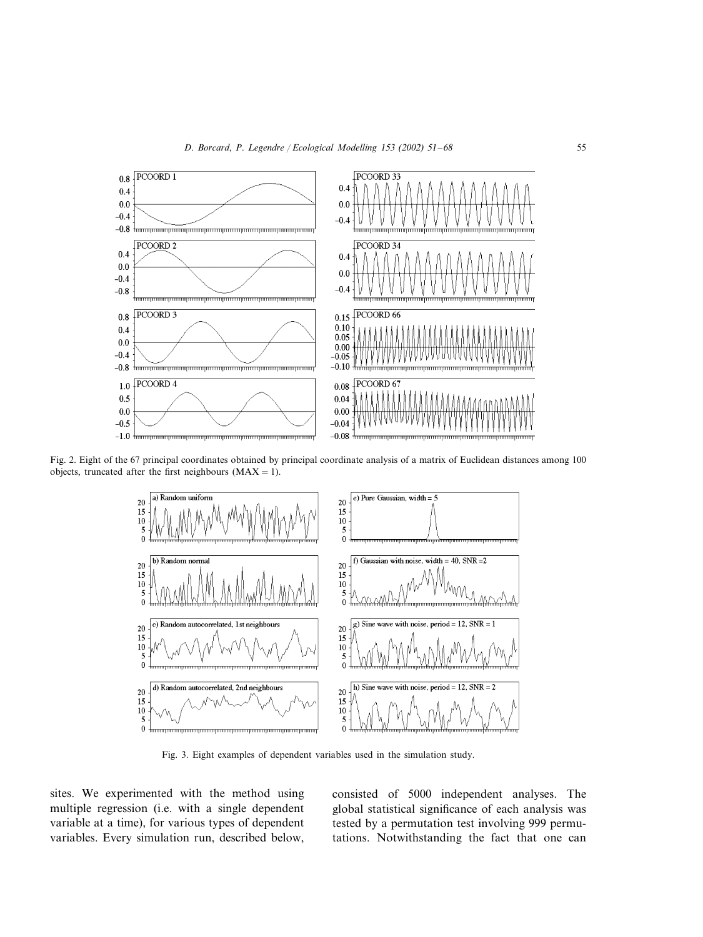

Fig. 2. Eight of the 67 principal coordinates obtained by principal coordinate analysis of a matrix of Euclidean distances among 100 objects, truncated after the first neighbours  $(MAX = 1)$ .



Fig. 3. Eight examples of dependent variables used in the simulation study.

sites. We experimented with the method using multiple regression (i.e. with a single dependent variable at a time), for various types of dependent variables. Every simulation run, described below, consisted of 5000 independent analyses. The global statistical significance of each analysis was tested by a permutation test involving 999 permutations. Notwithstanding the fact that one can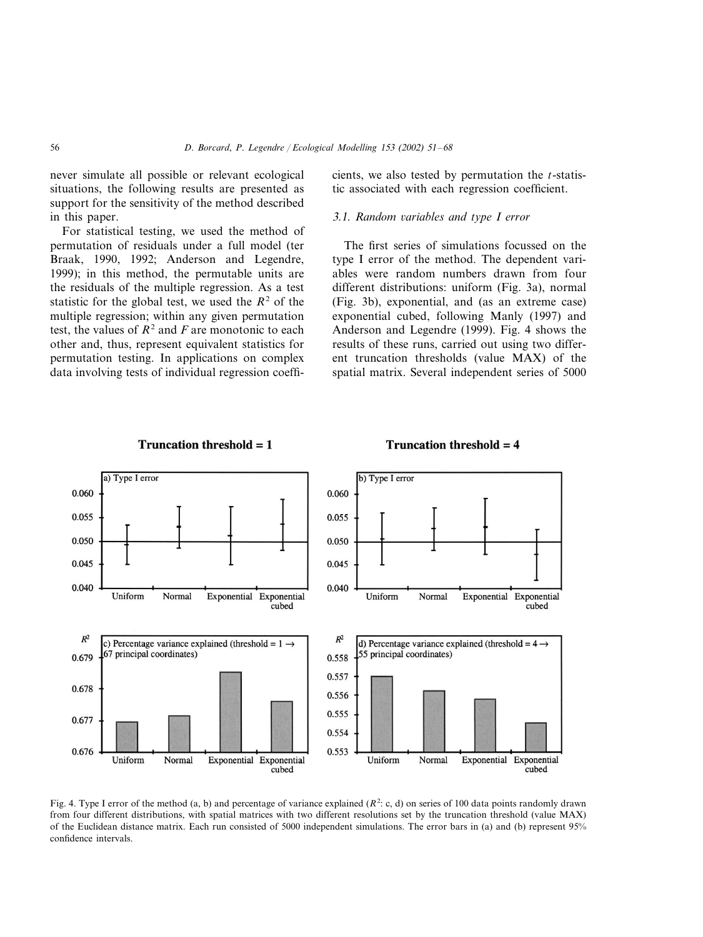never simulate all possible or relevant ecological situations, the following results are presented as support for the sensitivity of the method described in this paper.

For statistical testing, we used the method of permutation of residuals under a full model (ter Braak, 1990, 1992; Anderson and Legendre, 1999); in this method, the permutable units are the residuals of the multiple regression. As a test statistic for the global test, we used the  $R<sup>2</sup>$  of the multiple regression; within any given permutation test, the values of  $R^2$  and  $F$  are monotonic to each other and, thus, represent equivalent statistics for permutation testing. In applications on complex data involving tests of individual regression coeffi-

Truncation threshold  $= 1$ 

cients, we also tested by permutation the *t*-statistic associated with each regression coefficient.

# <sup>3</sup>.1. *Random ariables and type I error*

The first series of simulations focussed on the type I error of the method. The dependent variables were random numbers drawn from four different distributions: uniform (Fig. 3a), normal (Fig. 3b), exponential, and (as an extreme case) exponential cubed, following Manly (1997) and Anderson and Legendre (1999). Fig. 4 shows the results of these runs, carried out using two different truncation thresholds (value MAX) of the spatial matrix. Several independent series of 5000



Fig. 4. Type I error of the method  $(a, b)$  and percentage of variance explained  $(R^2; c, d)$  on series of 100 data points randomly drawn from four different distributions, with spatial matrices with two different resolutions set by the truncation threshold (value MAX) of the Euclidean distance matrix. Each run consisted of 5000 independent simulations. The error bars in (a) and (b) represent 95% confidence intervals.

# Truncation threshold  $=$  4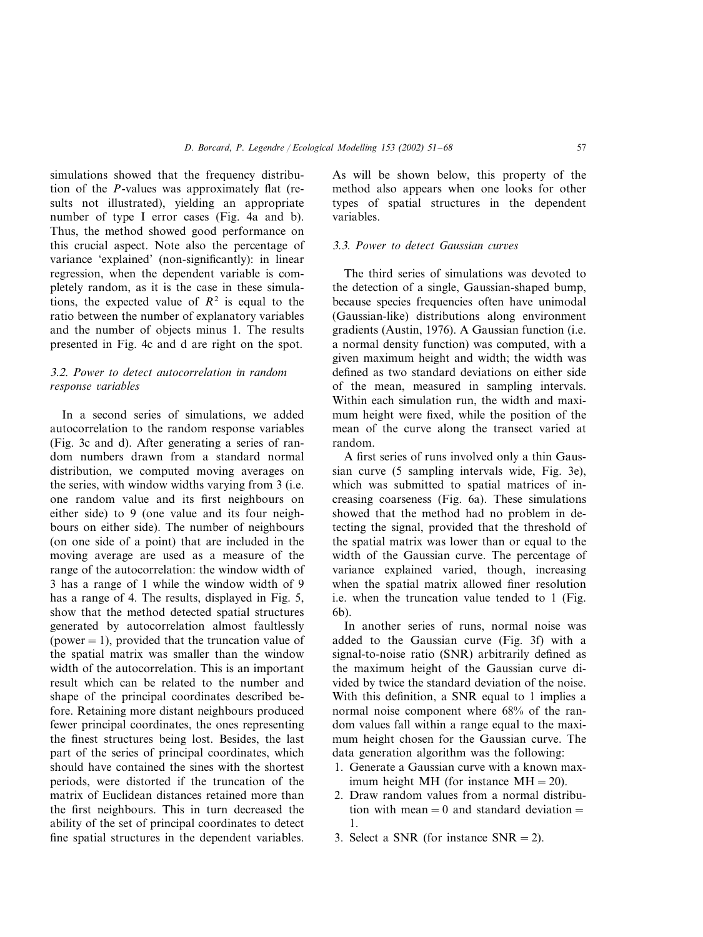simulations showed that the frequency distribution of the *P*-values was approximately flat (results not illustrated), yielding an appropriate number of type I error cases (Fig. 4a and b). Thus, the method showed good performance on this crucial aspect. Note also the percentage of variance 'explained' (non-significantly): in linear regression, when the dependent variable is completely random, as it is the case in these simulations, the expected value of  $R^2$  is equal to the ratio between the number of explanatory variables and the number of objects minus 1. The results presented in Fig. 4c and d are right on the spot.

# 3.2. *Power to detect autocorrelation in random response ariables*

In a second series of simulations, we added autocorrelation to the random response variables (Fig. 3c and d). After generating a series of random numbers drawn from a standard normal distribution, we computed moving averages on the series, with window widths varying from 3 (i.e. one random value and its first neighbours on either side) to 9 (one value and its four neighbours on either side). The number of neighbours (on one side of a point) that are included in the moving average are used as a measure of the range of the autocorrelation: the window width of 3 has a range of 1 while the window width of 9 has a range of 4. The results, displayed in Fig. 5, show that the method detected spatial structures generated by autocorrelation almost faultlessly (power  $=1$ ), provided that the truncation value of the spatial matrix was smaller than the window width of the autocorrelation. This is an important result which can be related to the number and shape of the principal coordinates described before. Retaining more distant neighbours produced fewer principal coordinates, the ones representing the finest structures being lost. Besides, the last part of the series of principal coordinates, which should have contained the sines with the shortest periods, were distorted if the truncation of the matrix of Euclidean distances retained more than the first neighbours. This in turn decreased the ability of the set of principal coordinates to detect fine spatial structures in the dependent variables.

As will be shown below, this property of the method also appears when one looks for other types of spatial structures in the dependent variables.

## <sup>3</sup>.3. *Power to detect Gaussian cures*

The third series of simulations was devoted to the detection of a single, Gaussian-shaped bump, because species frequencies often have unimodal (Gaussian-like) distributions along environment gradients (Austin, 1976). A Gaussian function (i.e. a normal density function) was computed, with a given maximum height and width; the width was defined as two standard deviations on either side of the mean, measured in sampling intervals. Within each simulation run, the width and maximum height were fixed, while the position of the mean of the curve along the transect varied at random.

A first series of runs involved only a thin Gaussian curve (5 sampling intervals wide, Fig. 3e), which was submitted to spatial matrices of increasing coarseness (Fig. 6a). These simulations showed that the method had no problem in detecting the signal, provided that the threshold of the spatial matrix was lower than or equal to the width of the Gaussian curve. The percentage of variance explained varied, though, increasing when the spatial matrix allowed finer resolution i.e. when the truncation value tended to 1 (Fig. 6b).

In another series of runs, normal noise was added to the Gaussian curve (Fig. 3f) with a signal-to-noise ratio (SNR) arbitrarily defined as the maximum height of the Gaussian curve divided by twice the standard deviation of the noise. With this definition, a SNR equal to 1 implies a normal noise component where 68% of the random values fall within a range equal to the maximum height chosen for the Gaussian curve. The data generation algorithm was the following:

- 1. Generate a Gaussian curve with a known maximum height MH (for instance  $MH = 20$ ).
- 2. Draw random values from a normal distribution with mean  $=0$  and standard deviation  $=$ 1.
- 3. Select a SNR (for instance  $SNR = 2$ ).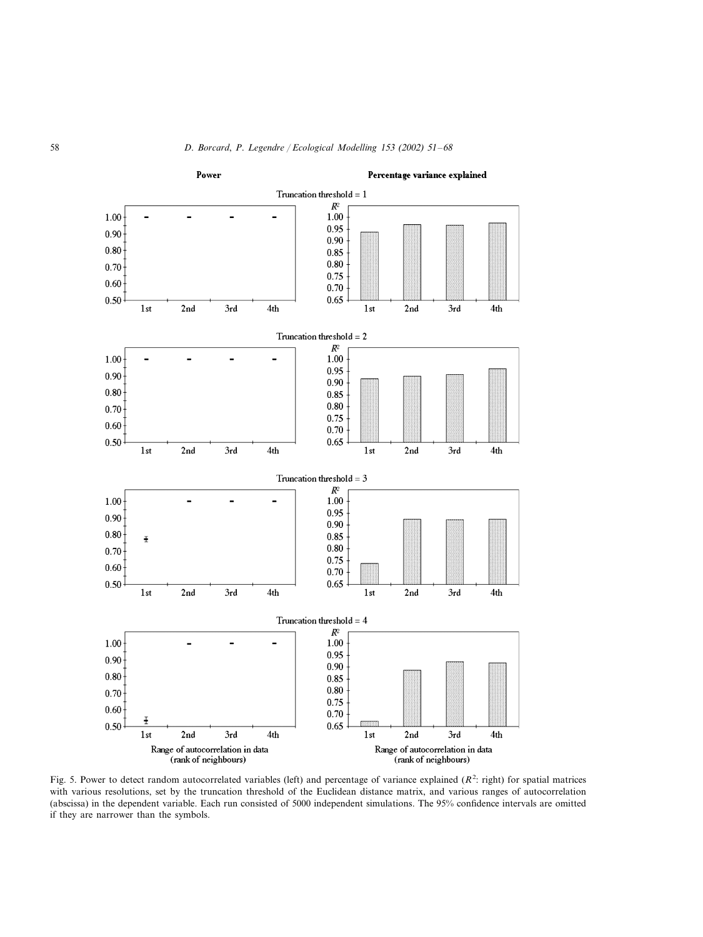

Fig. 5. Power to detect random autocorrelated variables (left) and percentage of variance explained  $(R^2$ : right) for spatial matrices with various resolutions, set by the truncation threshold of the Euclidean distance matrix, and various ranges of autocorrelation (abscissa) in the dependent variable. Each run consisted of 5000 independent simulations. The 95% confidence intervals are omitted if they are narrower than the symbols.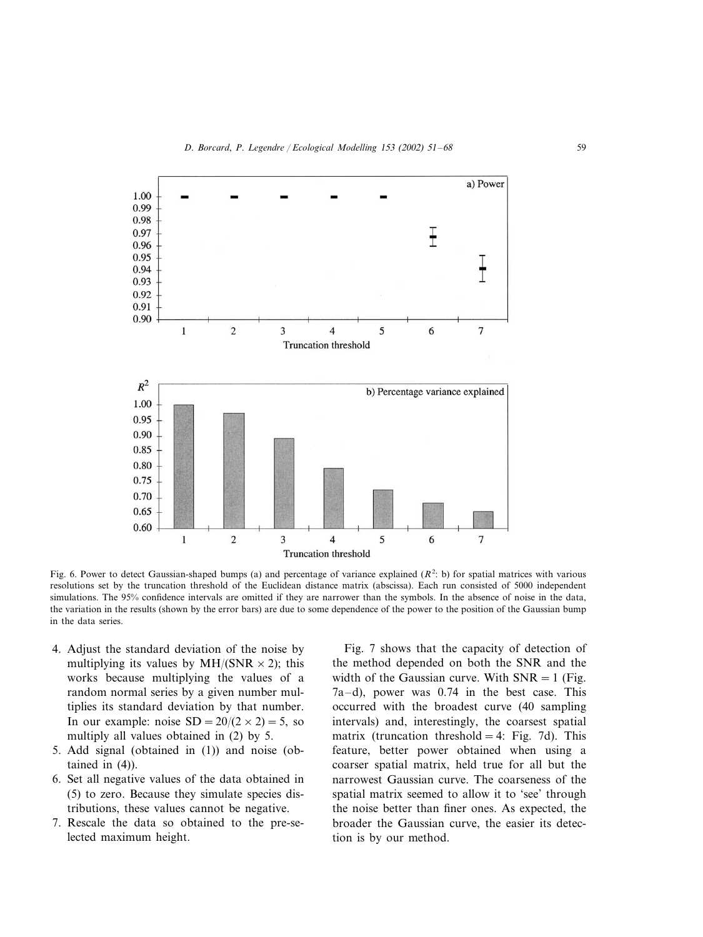

Fig. 6. Power to detect Gaussian-shaped bumps (a) and percentage of variance explained  $(R^2$ : b) for spatial matrices with various resolutions set by the truncation threshold of the Euclidean distance matrix (abscissa). Each run consisted of 5000 independent simulations. The 95% confidence intervals are omitted if they are narrower than the symbols. In the absence of noise in the data, the variation in the results (shown by the error bars) are due to some dependence of the power to the position of the Gaussian bump in the data series.

- 4. Adjust the standard deviation of the noise by multiplying its values by  $MH/(SNR \times 2)$ ; this works because multiplying the values of a random normal series by a given number multiplies its standard deviation by that number. In our example: noise  $SD = 20/(2 \times 2) = 5$ , so multiply all values obtained in (2) by 5.
- 5. Add signal (obtained in (1)) and noise (obtained in (4)).
- 6. Set all negative values of the data obtained in (5) to zero. Because they simulate species distributions, these values cannot be negative.
- 7. Rescale the data so obtained to the pre-selected maximum height.

Fig. 7 shows that the capacity of detection of the method depended on both the SNR and the width of the Gaussian curve. With  $SNR = 1$  (Fig. 7a–d), power was 0.74 in the best case. This occurred with the broadest curve (40 sampling intervals) and, interestingly, the coarsest spatial matrix (truncation threshold = 4: Fig. 7d). This feature, better power obtained when using a coarser spatial matrix, held true for all but the narrowest Gaussian curve. The coarseness of the spatial matrix seemed to allow it to 'see' through the noise better than finer ones. As expected, the broader the Gaussian curve, the easier its detection is by our method.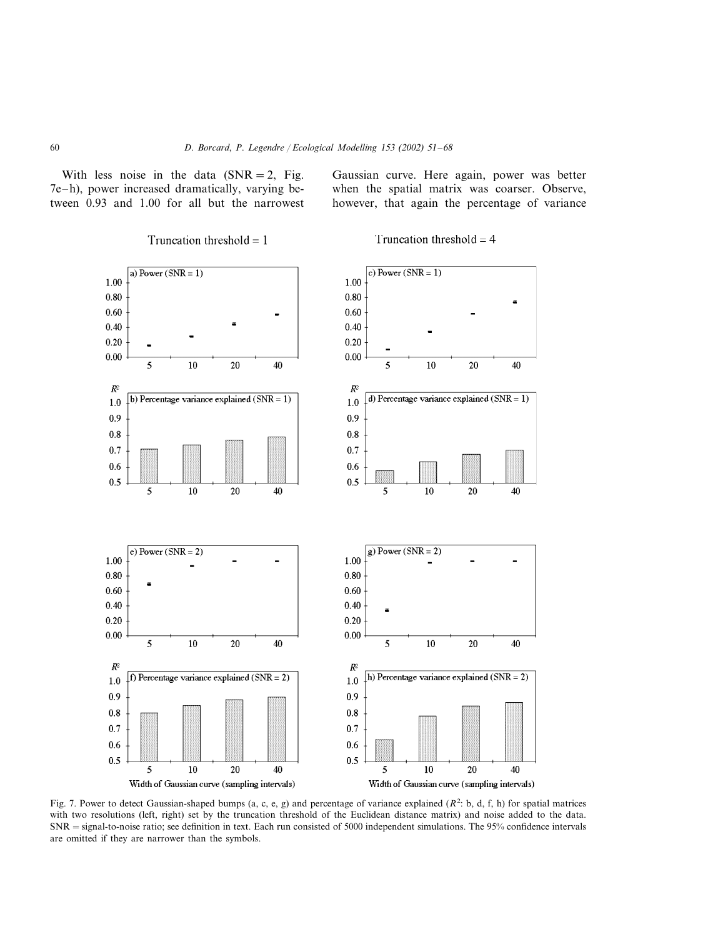With less noise in the data  $(SNR = 2, Fig.$ 7e–h), power increased dramatically, varying between 0.93 and 1.00 for all but the narrowest

Truncation threshold =  $1$ 

Gaussian curve. Here again, power was better when the spatial matrix was coarser. Observe, however, that again the percentage of variance



Truncation threshold =  $4$ 

Fig. 7. Power to detect Gaussian-shaped bumps  $(a, c, e, g)$  and percentage of variance explained  $(R^2$ : b, d, f, h) for spatial matrices with two resolutions (left, right) set by the truncation threshold of the Euclidean distance matrix) and noise added to the data. SNR=signal-to-noise ratio; see definition in text. Each run consisted of 5000 independent simulations. The 95% confidence intervals are omitted if they are narrower than the symbols.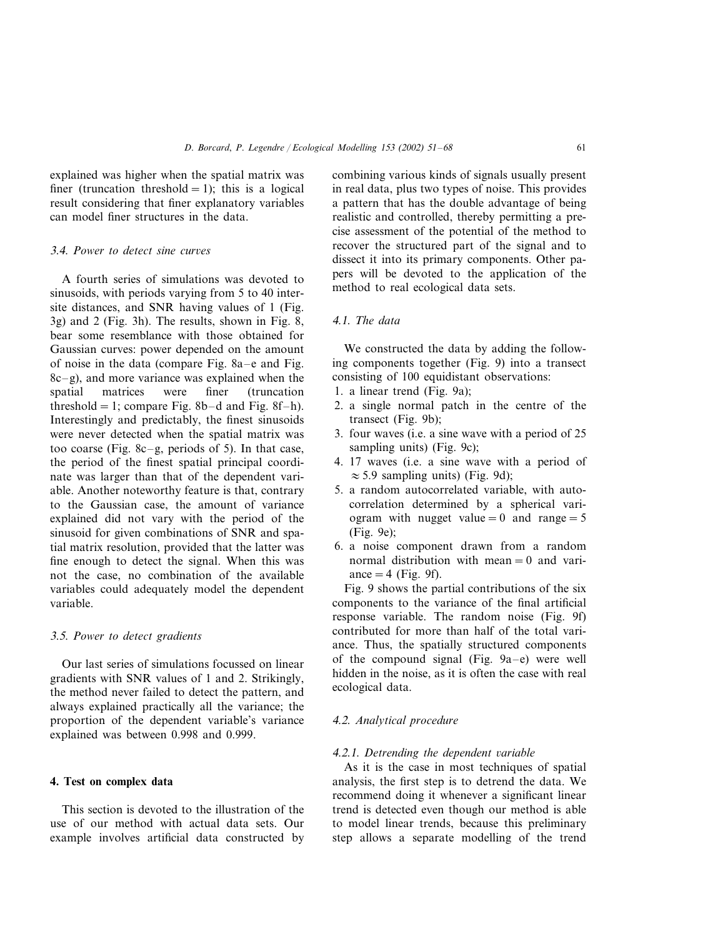explained was higher when the spatial matrix was finer (truncation threshold = 1); this is a logical result considering that finer explanatory variables can model finer structures in the data.

# <sup>3</sup>.4. *Power to detect sine cures*

A fourth series of simulations was devoted to sinusoids, with periods varying from 5 to 40 intersite distances, and SNR having values of 1 (Fig. 3g) and 2 (Fig. 3h). The results, shown in Fig. 8, bear some resemblance with those obtained for Gaussian curves: power depended on the amount of noise in the data (compare Fig. 8a–e and Fig.  $8c-g$ ), and more variance was explained when the spatial matrices were finer (truncation spatial matrices were finer (truncation threshold  $= 1$ ; compare Fig. 8b–d and Fig. 8f–h). Interestingly and predictably, the finest sinusoids were never detected when the spatial matrix was too coarse (Fig. 8c–g, periods of 5). In that case, the period of the finest spatial principal coordinate was larger than that of the dependent variable. Another noteworthy feature is that, contrary to the Gaussian case, the amount of variance explained did not vary with the period of the sinusoid for given combinations of SNR and spatial matrix resolution, provided that the latter was fine enough to detect the signal. When this was not the case, no combination of the available variables could adequately model the dependent variable.

#### 3.5. *Power to detect gradients*

Our last series of simulations focussed on linear gradients with SNR values of 1 and 2. Strikingly, the method never failed to detect the pattern, and always explained practically all the variance; the proportion of the dependent variable's variance explained was between 0.998 and 0.999.

## **4. Test on complex data**

This section is devoted to the illustration of the use of our method with actual data sets. Our example involves artificial data constructed by combining various kinds of signals usually present in real data, plus two types of noise. This provides a pattern that has the double advantage of being realistic and controlled, thereby permitting a precise assessment of the potential of the method to recover the structured part of the signal and to dissect it into its primary components. Other papers will be devoted to the application of the method to real ecological data sets.

# <sup>4</sup>.1. *The data*

We constructed the data by adding the following components together (Fig. 9) into a transect consisting of 100 equidistant observations:

- 1. a linear trend (Fig. 9a);
- 2. a single normal patch in the centre of the transect (Fig. 9b);
- 3. four waves (i.e. a sine wave with a period of 25 sampling units) (Fig. 9c);
- 4. 17 waves (i.e. a sine wave with a period of  $\approx$  5.9 sampling units) (Fig. 9d);
- 5. a random autocorrelated variable, with autocorrelation determined by a spherical variogram with nugget value=0 and range= $5$ (Fig. 9e);
- 6. a noise component drawn from a random normal distribution with mean  $=0$  and variance  $=4$  (Fig. 9f).

Fig. 9 shows the partial contributions of the six components to the variance of the final artificial response variable. The random noise (Fig. 9f) contributed for more than half of the total variance. Thus, the spatially structured components of the compound signal (Fig. 9a–e) were well hidden in the noise, as it is often the case with real ecological data.

# <sup>4</sup>.2. *Analytical procedure*

#### <sup>4</sup>.2.1. *Detrending the dependent ariable*

As it is the case in most techniques of spatial analysis, the first step is to detrend the data. We recommend doing it whenever a significant linear trend is detected even though our method is able to model linear trends, because this preliminary step allows a separate modelling of the trend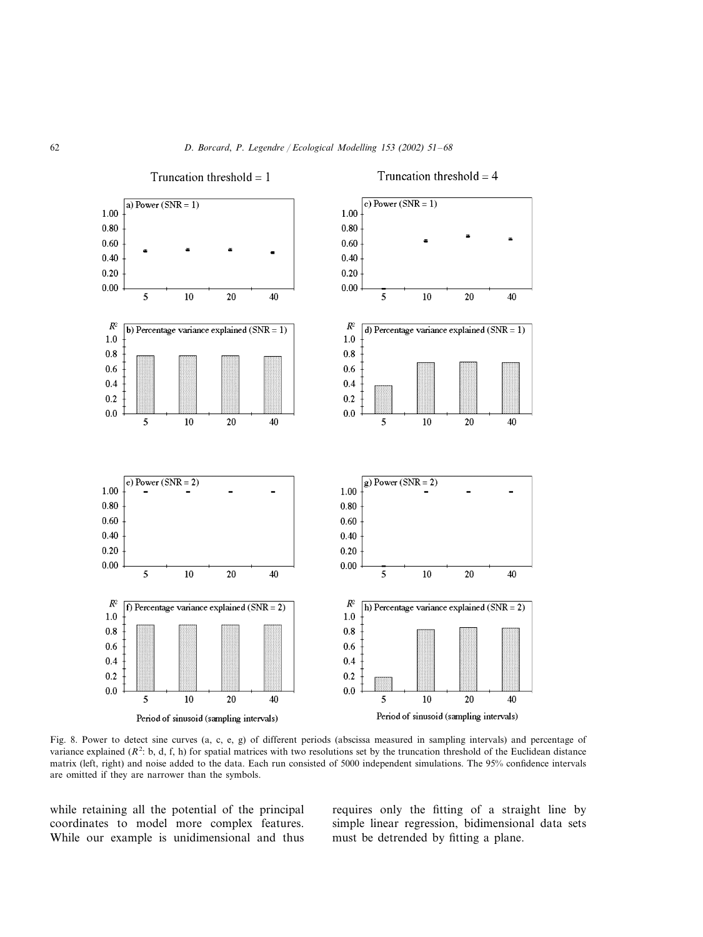

Fig. 8. Power to detect sine curves (a, c, e, g) of different periods (abscissa measured in sampling intervals) and percentage of variance explained  $(R^2$ : b, d, f, h) for spatial matrices with two resolutions set by the truncation threshold of the Euclidean distance matrix (left, right) and noise added to the data. Each run consisted of 5000 independent simulations. The 95% confidence intervals are omitted if they are narrower than the symbols.

while retaining all the potential of the principal coordinates to model more complex features. While our example is unidimensional and thus requires only the fitting of a straight line by simple linear regression, bidimensional data sets must be detrended by fitting a plane.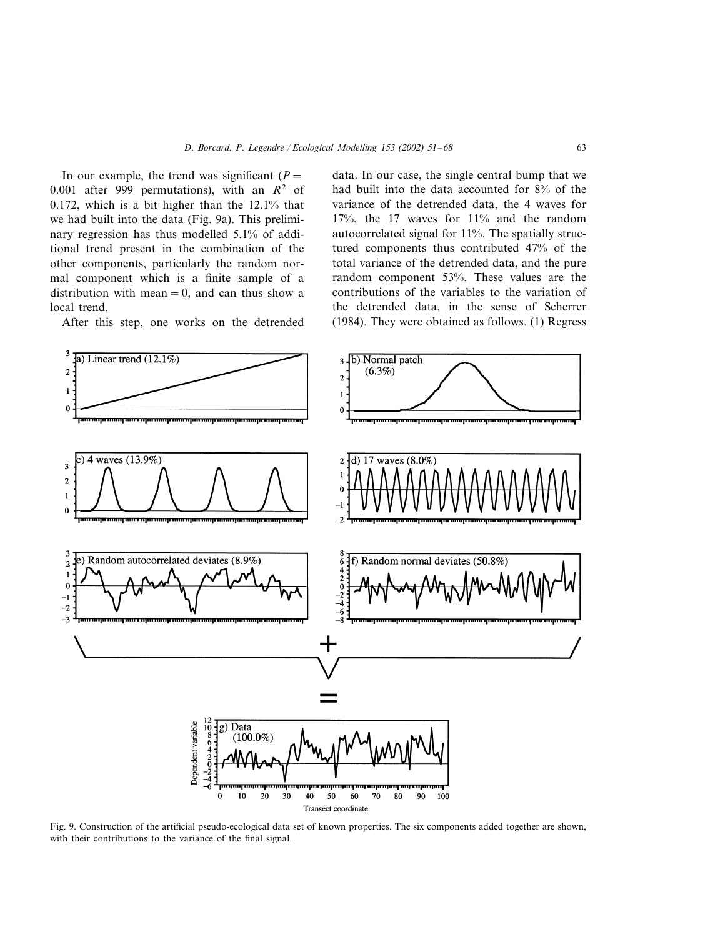In our example, the trend was significant  $(P =$ 0.001 after 999 permutations), with an *R*<sup>2</sup> of 0.172, which is a bit higher than the 12.1% that we had built into the data (Fig. 9a). This preliminary regression has thus modelled 5.1% of additional trend present in the combination of the other components, particularly the random normal component which is a finite sample of a distribution with mean  $= 0$ , and can thus show a local trend.

After this step, one works on the detrended

data. In our case, the single central bump that we had built into the data accounted for 8% of the variance of the detrended data, the 4 waves for 17%, the 17 waves for 11% and the random autocorrelated signal for 11%. The spatially structured components thus contributed 47% of the total variance of the detrended data, and the pure random component 53%. These values are the contributions of the variables to the variation of the detrended data, in the sense of Scherrer (1984). They were obtained as follows. (1) Regress



Fig. 9. Construction of the artificial pseudo-ecological data set of known properties. The six components added together are shown, with their contributions to the variance of the final signal.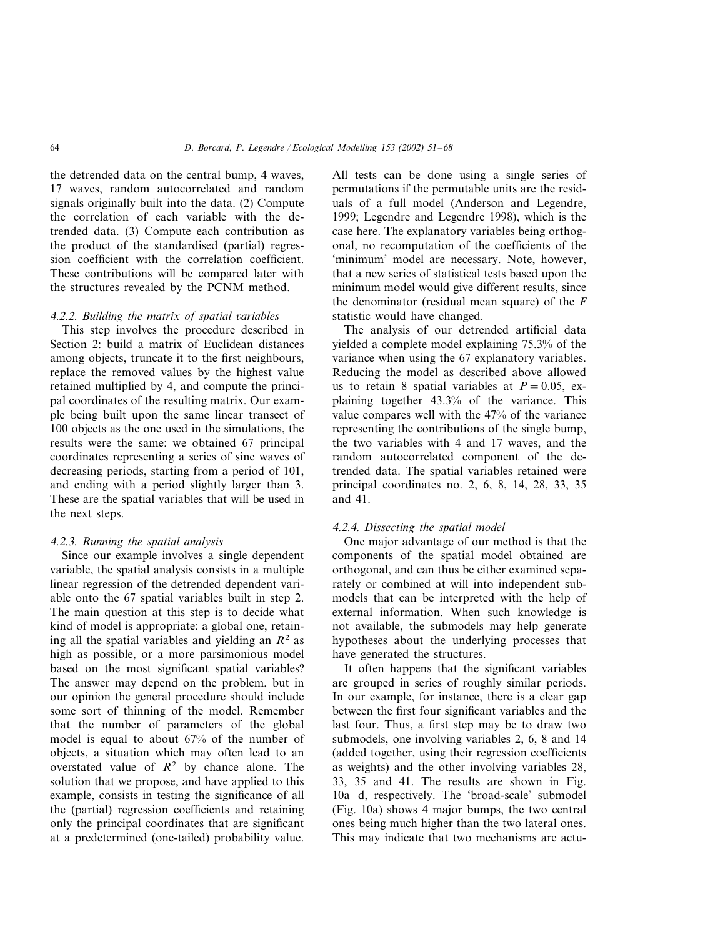the detrended data on the central bump, 4 waves, 17 waves, random autocorrelated and random signals originally built into the data. (2) Compute the correlation of each variable with the detrended data. (3) Compute each contribution as the product of the standardised (partial) regression coefficient with the correlation coefficient. These contributions will be compared later with the structures revealed by the PCNM method.

# <sup>4</sup>.2.2. *Building the matrix of spatial ariables*

This step involves the procedure described in Section 2: build a matrix of Euclidean distances among objects, truncate it to the first neighbours, replace the removed values by the highest value retained multiplied by 4, and compute the principal coordinates of the resulting matrix. Our example being built upon the same linear transect of 100 objects as the one used in the simulations, the results were the same: we obtained 67 principal coordinates representing a series of sine waves of decreasing periods, starting from a period of 101, and ending with a period slightly larger than 3. These are the spatial variables that will be used in the next steps.

### <sup>4</sup>.2.3. *Running the spatial analysis*

Since our example involves a single dependent variable, the spatial analysis consists in a multiple linear regression of the detrended dependent variable onto the 67 spatial variables built in step 2. The main question at this step is to decide what kind of model is appropriate: a global one, retaining all the spatial variables and yielding an  $R^2$  as high as possible, or a more parsimonious model based on the most significant spatial variables? The answer may depend on the problem, but in our opinion the general procedure should include some sort of thinning of the model. Remember that the number of parameters of the global model is equal to about 67% of the number of objects, a situation which may often lead to an overstated value of  $R^2$  by chance alone. The solution that we propose, and have applied to this example, consists in testing the significance of all the (partial) regression coefficients and retaining only the principal coordinates that are significant at a predetermined (one-tailed) probability value.

All tests can be done using a single series of permutations if the permutable units are the residuals of a full model (Anderson and Legendre, 1999; Legendre and Legendre 1998), which is the case here. The explanatory variables being orthogonal, no recomputation of the coefficients of the 'minimum' model are necessary. Note, however, that a new series of statistical tests based upon the minimum model would give different results, since the denominator (residual mean square) of the *F* statistic would have changed.

The analysis of our detrended artificial data yielded a complete model explaining 75.3% of the variance when using the 67 explanatory variables. Reducing the model as described above allowed us to retain 8 spatial variables at  $P=0.05$ , explaining together 43.3% of the variance. This value compares well with the 47% of the variance representing the contributions of the single bump, the two variables with 4 and 17 waves, and the random autocorrelated component of the detrended data. The spatial variables retained were principal coordinates no. 2, 6, 8, 14, 28, 33, 35 and 41.

## <sup>4</sup>.2.4. *Dissecting the spatial model*

One major advantage of our method is that the components of the spatial model obtained are orthogonal, and can thus be either examined separately or combined at will into independent submodels that can be interpreted with the help of external information. When such knowledge is not available, the submodels may help generate hypotheses about the underlying processes that have generated the structures.

It often happens that the significant variables are grouped in series of roughly similar periods. In our example, for instance, there is a clear gap between the first four significant variables and the last four. Thus, a first step may be to draw two submodels, one involving variables 2, 6, 8 and 14 (added together, using their regression coefficients as weights) and the other involving variables 28, 33, 35 and 41. The results are shown in Fig. 10a–d, respectively. The 'broad-scale' submodel (Fig. 10a) shows 4 major bumps, the two central ones being much higher than the two lateral ones. This may indicate that two mechanisms are actu-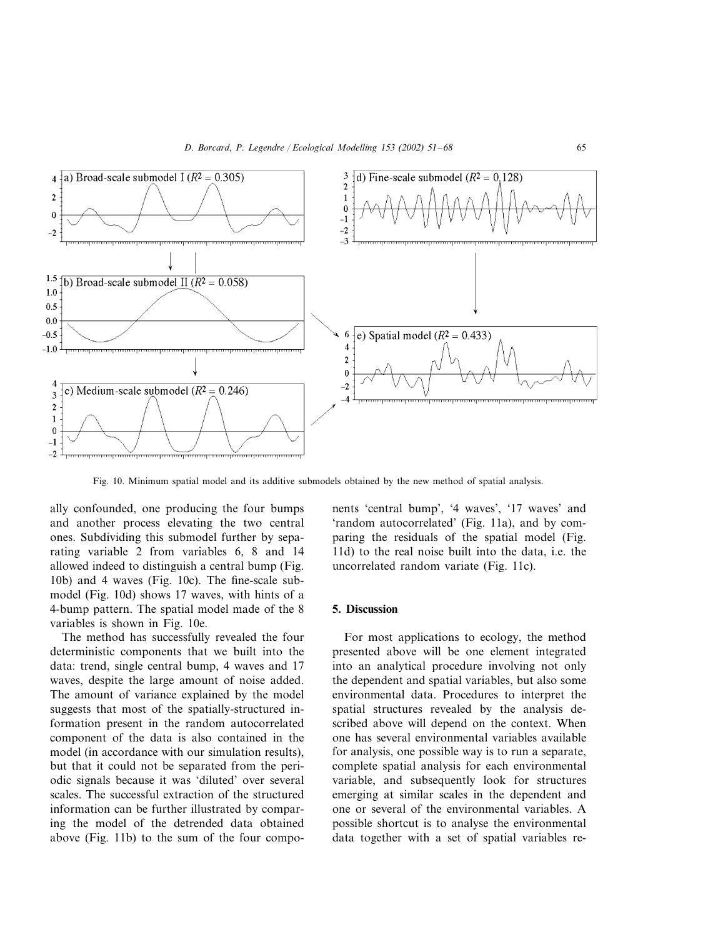

Fig. 10. Minimum spatial model and its additive submodels obtained by the new method of spatial analysis.

ally confounded, one producing the four bumps and another process elevating the two central ones. Subdividing this submodel further by separating variable 2 from variables 6, 8 and 14 allowed indeed to distinguish a central bump (Fig. 10b) and 4 waves (Fig. 10c). The fine-scale submodel (Fig. 10d) shows 17 waves, with hints of a 4-bump pattern. The spatial model made of the 8 variables is shown in Fig. 10e.

The method has successfully revealed the four deterministic components that we built into the data: trend, single central bump, 4 waves and 17 waves, despite the large amount of noise added. The amount of variance explained by the model suggests that most of the spatially-structured information present in the random autocorrelated component of the data is also contained in the model (in accordance with our simulation results), but that it could not be separated from the periodic signals because it was 'diluted' over several scales. The successful extraction of the structured information can be further illustrated by comparing the model of the detrended data obtained above (Fig. 11b) to the sum of the four components 'central bump', '4 waves', '17 waves' and 'random autocorrelated' (Fig. 11a), and by comparing the residuals of the spatial model (Fig. 11d) to the real noise built into the data, i.e. the uncorrelated random variate (Fig. 11c).

# **5. Discussion**

For most applications to ecology, the method presented above will be one element integrated into an analytical procedure involving not only the dependent and spatial variables, but also some environmental data. Procedures to interpret the spatial structures revealed by the analysis described above will depend on the context. When one has several environmental variables available for analysis, one possible way is to run a separate, complete spatial analysis for each environmental variable, and subsequently look for structures emerging at similar scales in the dependent and one or several of the environmental variables. A possible shortcut is to analyse the environmental data together with a set of spatial variables re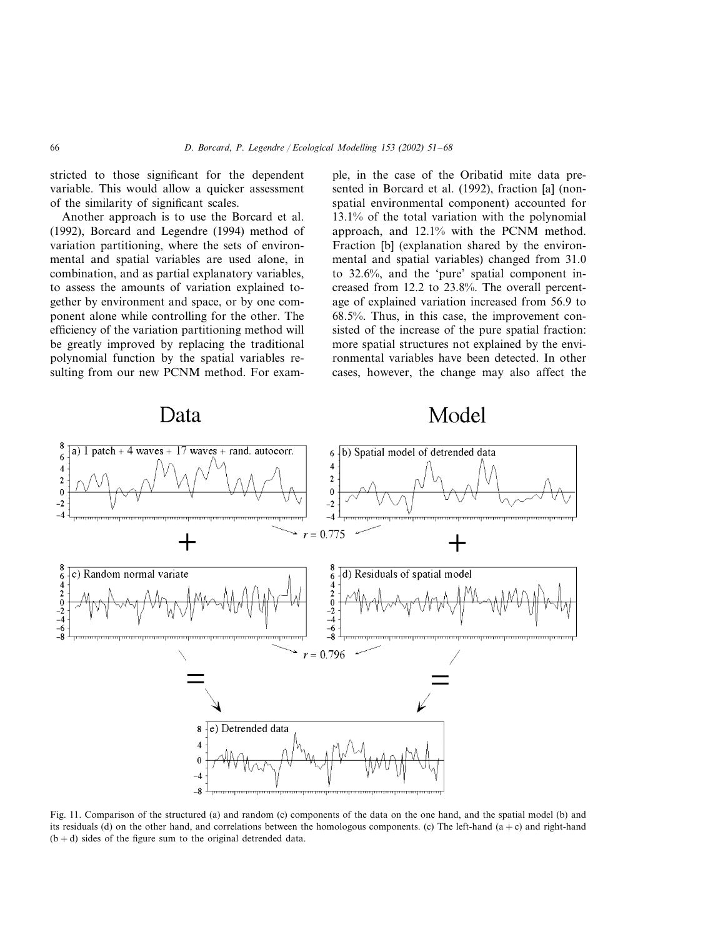stricted to those significant for the dependent variable. This would allow a quicker assessment of the similarity of significant scales.

Another approach is to use the Borcard et al. (1992), Borcard and Legendre (1994) method of variation partitioning, where the sets of environmental and spatial variables are used alone, in combination, and as partial explanatory variables, to assess the amounts of variation explained together by environment and space, or by one component alone while controlling for the other. The efficiency of the variation partitioning method will be greatly improved by replacing the traditional polynomial function by the spatial variables resulting from our new PCNM method. For example, in the case of the Oribatid mite data presented in Borcard et al. (1992), fraction [a] (nonspatial environmental component) accounted for 13.1% of the total variation with the polynomial approach, and 12.1% with the PCNM method. Fraction [b] (explanation shared by the environmental and spatial variables) changed from 31.0 to 32.6%, and the 'pure' spatial component increased from 12.2 to 23.8%. The overall percentage of explained variation increased from 56.9 to 68.5%. Thus, in this case, the improvement consisted of the increase of the pure spatial fraction: more spatial structures not explained by the environmental variables have been detected. In other cases, however, the change may also affect the



Fig. 11. Comparison of the structured (a) and random (c) components of the data on the one hand, and the spatial model (b) and its residuals (d) on the other hand, and correlations between the homologous components. (c) The left-hand  $(a + c)$  and right-hand  $(b+d)$  sides of the figure sum to the original detrended data.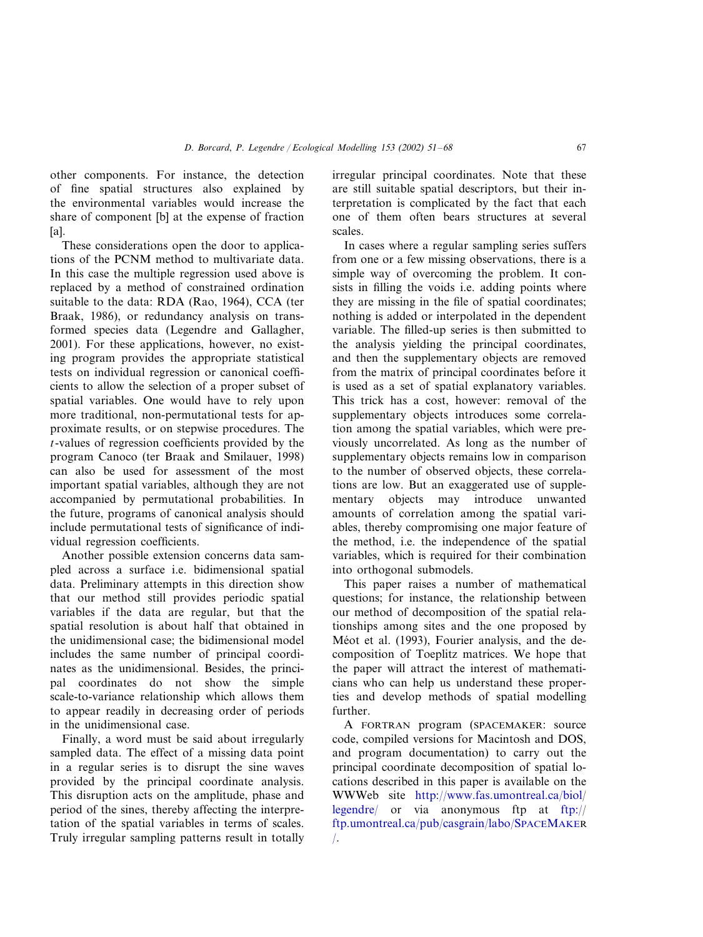other components. For instance, the detection of fine spatial structures also explained by the environmental variables would increase the share of component [b] at the expense of fraction [a].

These considerations open the door to applications of the PCNM method to multivariate data. In this case the multiple regression used above is replaced by a method of constrained ordination suitable to the data: RDA (Rao, 1964), CCA (ter Braak, 1986), or redundancy analysis on transformed species data (Legendre and Gallagher, 2001). For these applications, however, no existing program provides the appropriate statistical tests on individual regression or canonical coefficients to allow the selection of a proper subset of spatial variables. One would have to rely upon more traditional, non-permutational tests for approximate results, or on stepwise procedures. The *t*-values of regression coefficients provided by the program Canoco (ter Braak and Smilauer, 1998) can also be used for assessment of the most important spatial variables, although they are not accompanied by permutational probabilities. In the future, programs of canonical analysis should include permutational tests of significance of individual regression coefficients.

Another possible extension concerns data sampled across a surface i.e. bidimensional spatial data. Preliminary attempts in this direction show that our method still provides periodic spatial variables if the data are regular, but that the spatial resolution is about half that obtained in the unidimensional case; the bidimensional model includes the same number of principal coordinates as the unidimensional. Besides, the principal coordinates do not show the simple scale-to-variance relationship which allows them to appear readily in decreasing order of periods in the unidimensional case.

Finally, a word must be said about irregularly sampled data. The effect of a missing data point in a regular series is to disrupt the sine waves provided by the principal coordinate analysis. This disruption acts on the amplitude, phase and period of the sines, thereby affecting the interpretation of the spatial variables in terms of scales. Truly irregular sampling patterns result in totally

irregular principal coordinates. Note that these are still suitable spatial descriptors, but their interpretation is complicated by the fact that each one of them often bears structures at several scales.

In cases where a regular sampling series suffers from one or a few missing observations, there is a simple way of overcoming the problem. It consists in filling the voids i.e. adding points where they are missing in the file of spatial coordinates; nothing is added or interpolated in the dependent variable. The filled-up series is then submitted to the analysis yielding the principal coordinates, and then the supplementary objects are removed from the matrix of principal coordinates before it is used as a set of spatial explanatory variables. This trick has a cost, however: removal of the supplementary objects introduces some correlation among the spatial variables, which were previously uncorrelated. As long as the number of supplementary objects remains low in comparison to the number of observed objects, these correlations are low. But an exaggerated use of supplementary objects may introduce unwanted amounts of correlation among the spatial variables, thereby compromising one major feature of the method, i.e. the independence of the spatial variables, which is required for their combination into orthogonal submodels.

This paper raises a number of mathematical questions; for instance, the relationship between our method of decomposition of the spatial relationships among sites and the one proposed by Méot et al. (1993), Fourier analysis, and the decomposition of Toeplitz matrices. We hope that the paper will attract the interest of mathematicians who can help us understand these properties and develop methods of spatial modelling further.

A FORTRAN program (SPACEMAKER: source code, compiled versions for Macintosh and DOS, and program documentation) to carry out the principal coordinate decomposition of spatial locations described in this paper is available on the WWWeb site http://[www.fas.umontreal.ca](http://www.fas.umontreal.ca/biol/legendre/)/biol/ [legendre](http://www.fas.umontreal.ca/biol/legendre/)/ or via anonymous ftp at [ftp:](ftp://ftp.umontreal.ca/pub/casgrain/labo/SpaceMaker/)// [ftp.umontreal.ca](ftp://ftp.umontreal.ca/pub/casgrain/labo/SpaceMaker/)/pub/casgrain/labo/SPACEMAKER [/](ftp://ftp.umontreal.ca/pub/casgrain/labo/SpaceMaker/).